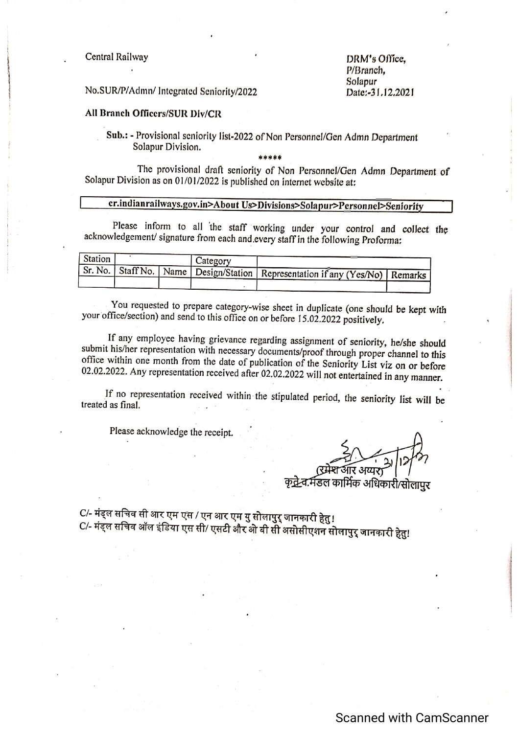Central Railway

DRM's Office. P/Branch. Solapur Date:-31.12.2021

No.SUR/P/Admn/ Integrated Seniority/2022

## All Branch Officers/SUR Div/CR

Sub.: - Provisional seniority list-2022 of Non Personnel/Gen Admn Department Solapur Division.

.<br>\* \* \* \* \*

The provisional draft seniority of Non Personnel/Gen Admn Department of Solapur Division as on 01/01/2022 is published on internet website at:

## cr.indianrailways.gov.in>About Us>Divisions>Solapur>Personnel>Seniority

Please inform to all the staff working under your control and collect the acknowledgement/ signature from each and every staff in the following Proforma:

| Station |  | Category |                                                                                        |  |
|---------|--|----------|----------------------------------------------------------------------------------------|--|
|         |  |          | Sr. No.   Staff No.   Name   Design/Station   Representation if any (Yes/No)   Remarks |  |
|         |  |          |                                                                                        |  |

You requested to prepare category-wise sheet in duplicate (one should be kept with your office/section) and send to this office on or before 15.02.2022 positively.

If any employee having grievance regarding assignment of seniority, he/she should submit his/her representation with necessary documents/proof through proper channel to this office within one month from the date of publication of the Seniority List viz on or before 02.02.2022. Any representation received after 02.02.2022 will not entertained in any manner.

If no representation received within the stipulated period, the seniority list will be treated as final.

Please acknowledge the receipt.

आर अयार

कद्रे-व.मॅडल कार्मिक अधिकारी/सोलापर

C/- मंड्ल सचिव सी आर एम एस / एन आर एम यु सोलापुर् जानकारी हेतु ! C/- मंड्ल सचिव ऑल इंडिया एस सी/ एसटी और ओ वी सी असोसीएशन सोलापुर् जानकारी हेतु!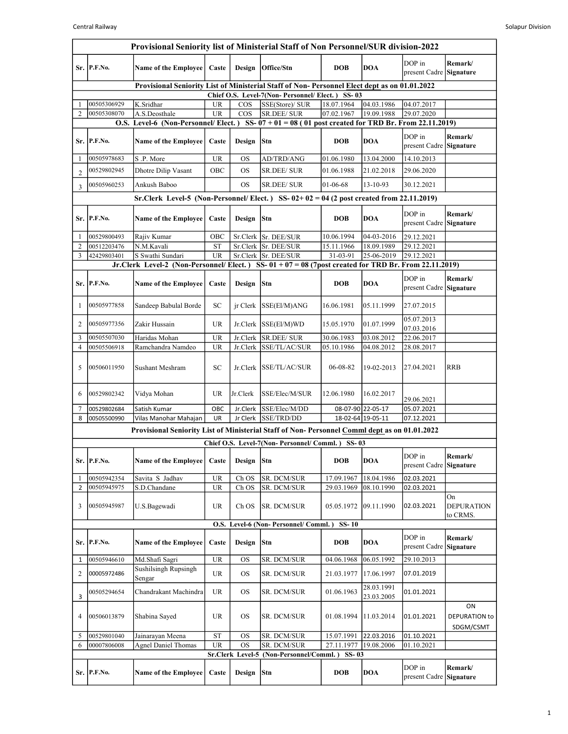|                | Sr. P.F.No.                                                                                                                                    |                                                                                                      |           |                               |                                                  |                       |                          |                                   | Provisional Seniority list of Ministerial Staff of Non Personnel/SUR division-2022 |  |  |  |  |  |  |  |  |  |  |
|----------------|------------------------------------------------------------------------------------------------------------------------------------------------|------------------------------------------------------------------------------------------------------|-----------|-------------------------------|--------------------------------------------------|-----------------------|--------------------------|-----------------------------------|------------------------------------------------------------------------------------|--|--|--|--|--|--|--|--|--|--|
|                |                                                                                                                                                | <b>Name of the Employee</b>                                                                          | Caste     |                               | Design   Office/Stn                              | <b>DOB</b>            | <b>DOA</b>               | DOP in<br>present Cadre Signature | Remark/                                                                            |  |  |  |  |  |  |  |  |  |  |
|                | Provisional Seniority List of Ministerial Staff of Non-Personnel Elect dept as on 01.01.2022<br>Chief O.S. Level-7(Non-Personnel/Elect.) SS-03 |                                                                                                      |           |                               |                                                  |                       |                          |                                   |                                                                                    |  |  |  |  |  |  |  |  |  |  |
|                | 00505306929                                                                                                                                    | K.Sridhar                                                                                            | <b>UR</b> | $\cos$                        | SSE(Store)/ SUR                                  | 18.07.1964            | 04.03.1986               | 04.07.2017                        |                                                                                    |  |  |  |  |  |  |  |  |  |  |
| $\overline{2}$ | 00505308070                                                                                                                                    | A.S.Deosthale                                                                                        | <b>UR</b> | $\cos$                        | <b>SR.DEE/ SUR</b>                               | 07.02.1967            | 19.09.1988               | 29.07.2020                        |                                                                                    |  |  |  |  |  |  |  |  |  |  |
|                |                                                                                                                                                | O.S. Level-6 (Non-Personnel/Elect.) SS- $07 + 01 = 08$ (01 post created for TRD Br. From 22.11.2019) |           |                               |                                                  |                       |                          |                                   |                                                                                    |  |  |  |  |  |  |  |  |  |  |
|                | Sr. P.F.No.                                                                                                                                    | <b>Name of the Employee</b>                                                                          | Caste     | Design                        | Stn                                              | <b>DOB</b>            | <b>DOA</b>               | DOP in<br>present Cadre Signature | Remark/                                                                            |  |  |  |  |  |  |  |  |  |  |
| -1             | 00505978683                                                                                                                                    | S.P. More                                                                                            | <b>UR</b> | <b>OS</b>                     | AD/TRD/ANG                                       | 01.06.1980            | 13.04.2000               | 14.10.2013                        |                                                                                    |  |  |  |  |  |  |  |  |  |  |
| $\overline{2}$ | 00529802945                                                                                                                                    | Dhotre Dilip Vasant                                                                                  | OBC       | <b>OS</b>                     | SR.DEE/ SUR                                      | 01.06.1988            | 21.02.2018               | 29.06.2020                        |                                                                                    |  |  |  |  |  |  |  |  |  |  |
| 3              | 00505960253                                                                                                                                    | Ankush Baboo                                                                                         |           | <b>OS</b>                     | <b>SR.DEE/SUR</b>                                | 01-06-68              | 13-10-93                 | 30.12.2021                        |                                                                                    |  |  |  |  |  |  |  |  |  |  |
|                |                                                                                                                                                | Sr.Clerk Level-5 (Non-Personnel/Elect.) SS- $02+02=04$ (2 post created from 22.11.2019)              |           |                               |                                                  |                       |                          |                                   |                                                                                    |  |  |  |  |  |  |  |  |  |  |
|                | Sr. P.F.No.                                                                                                                                    | <b>Name of the Employee</b>                                                                          | Caste     | Design                        | <b>Stn</b>                                       | <b>DOB</b>            | <b>DOA</b>               | DOP in<br>present Cadre Signature | Remark/                                                                            |  |  |  |  |  |  |  |  |  |  |
| -1             | 00529800493                                                                                                                                    | Rajiv Kumar                                                                                          | OBC       |                               | Sr.Clerk Sr. DEE/SUR                             | 10.06.1994            | 04-03-2016               | 29.12.2021                        |                                                                                    |  |  |  |  |  |  |  |  |  |  |
| $\overline{2}$ | 00512203476                                                                                                                                    | N.M.Kavali                                                                                           | <b>ST</b> |                               | Sr.Clerk Sr. DEE/SUR                             | 15.11.1966            | 18.09.1989               | 29.12.2021                        |                                                                                    |  |  |  |  |  |  |  |  |  |  |
| 3              | 42429803401                                                                                                                                    | S Swathi Sundari                                                                                     | <b>UR</b> |                               | Sr.Clerk Sr. DEE/SUR                             | 31-03-91              | 25-06-2019               | 29.12.2021                        |                                                                                    |  |  |  |  |  |  |  |  |  |  |
|                |                                                                                                                                                | Jr.Clerk Level-2 (Non-Personnel/Elect.) SS- 01 + 07 = 08 (7post created for TRD Br. From 22.11.2019) |           |                               |                                                  |                       |                          |                                   |                                                                                    |  |  |  |  |  |  |  |  |  |  |
| Sr.            | P.F.No.                                                                                                                                        | <b>Name of the Employee</b>                                                                          | Caste     | Design                        | Stn                                              | <b>DOB</b>            | <b>DOA</b>               | DOP in<br>present Cadre Signature | Remark/                                                                            |  |  |  |  |  |  |  |  |  |  |
| -1             | 00505977858                                                                                                                                    | Sandeep Babulal Borde                                                                                | SC        |                               | jr Clerk SSE(El/M)ANG                            | 16.06.1981            | 05.11.1999               | 27.07.2015                        |                                                                                    |  |  |  |  |  |  |  |  |  |  |
| 2              | 00505977356                                                                                                                                    | Zakir Hussain                                                                                        | <b>UR</b> |                               | $Jr.Clerk$ SSE(El/M)WD                           | 15.05.1970            | 01.07.1999               | 05.07.2013<br>07.03.2016          |                                                                                    |  |  |  |  |  |  |  |  |  |  |
| 3              | 00505507030                                                                                                                                    | Haridas Mohan                                                                                        | <b>UR</b> | Jr.Clerk                      | SR.DEE/ SUR                                      | 30.06.1983            | 03.08.2012               | 22.06.2017                        |                                                                                    |  |  |  |  |  |  |  |  |  |  |
| $\overline{4}$ | 00505506918                                                                                                                                    | Ramchandra Namdeo                                                                                    | <b>UR</b> | Jr.Clerk                      | SSE/TL/AC/SUR                                    | 05.10.1986            | 04.08.2012               | 28.08.2017                        |                                                                                    |  |  |  |  |  |  |  |  |  |  |
| 5              | 00506011950                                                                                                                                    | Sushant Meshram                                                                                      | SC        |                               | Jr.Clerk SSE/TL/AC/SUR                           | 06-08-82              | 19-02-2013               | 27.04.2021                        | <b>RRB</b>                                                                         |  |  |  |  |  |  |  |  |  |  |
| 6              | 00529802342                                                                                                                                    | Vidya Mohan                                                                                          | <b>UR</b> | Jr.Clerk                      | SSE/Elec/M/SUR                                   | 12.06.1980            | 16.02.2017               | 29.06.2021                        |                                                                                    |  |  |  |  |  |  |  |  |  |  |
| $\overline{7}$ | 00529802684                                                                                                                                    | Satish Kumar                                                                                         | OBC       | Jr.Clerk                      | SSE/Elec/M/DD                                    |                       | 08-07-90 22-05-17        | 05.07.2021                        |                                                                                    |  |  |  |  |  |  |  |  |  |  |
| 8              | 00505500990                                                                                                                                    | Vilas Manohar Mahajan                                                                                | UR        | Jr Clerk                      | SSE/TRD/DD                                       |                       | 18-02-64 19-05-11        | 07.12.2021                        |                                                                                    |  |  |  |  |  |  |  |  |  |  |
|                |                                                                                                                                                | Provisional Seniority List of Ministerial Staff of Non-Personnel Comml dept as on 01.01.2022         |           |                               |                                                  |                       |                          |                                   |                                                                                    |  |  |  |  |  |  |  |  |  |  |
|                |                                                                                                                                                |                                                                                                      |           |                               | Chief O.S. Level-7(Non- Personnel/ Comml.) SS-03 |                       |                          |                                   |                                                                                    |  |  |  |  |  |  |  |  |  |  |
| Sr.            | P.F.No.                                                                                                                                        | <b>Name of the Employee</b>                                                                          | Caste     | Design                        | Stn                                              | <b>DOB</b>            | <b>DOA</b>               | DOP in<br>present Cadre           | Remark/<br>Signature                                                               |  |  |  |  |  |  |  |  |  |  |
| -1             | 00505942354                                                                                                                                    | Savita S Jadhav                                                                                      | <b>UR</b> | Ch OS                         | SR. DCM/SUR                                      | 17.09.1967            | 18.04.1986               | 02.03.2021                        |                                                                                    |  |  |  |  |  |  |  |  |  |  |
| 2              | 00505945975                                                                                                                                    | S.D.Chandane                                                                                         | UR        | Ch OS                         | SR. DCM/SUR                                      | 29.03.1969            | 08.10.1990               | 02.03.2021                        |                                                                                    |  |  |  |  |  |  |  |  |  |  |
| 3              | 00505945987                                                                                                                                    | U.S.Bagewadi                                                                                         | <b>UR</b> | Ch OS                         | SR. DCM/SUR                                      | 05.05.1972            | 09.11.1990               | 02.03.2021                        | On<br><b>DEPURATION</b><br>to CRMS.                                                |  |  |  |  |  |  |  |  |  |  |
|                |                                                                                                                                                |                                                                                                      |           |                               | O.S. Level-6 (Non- Personnel/ Comml.)            | $SS-10$               |                          |                                   |                                                                                    |  |  |  |  |  |  |  |  |  |  |
| Sr.            | P.F.No.                                                                                                                                        | <b>Name of the Employee</b>                                                                          | Caste     | Design                        | Stn                                              | <b>DOB</b>            | <b>DOA</b>               | DOP in<br>present Cadre           | Remark/<br>Signature                                                               |  |  |  |  |  |  |  |  |  |  |
| 1              | 00505946610                                                                                                                                    | Md.Shafi Sagri                                                                                       | UR        | <b>OS</b>                     | SR. DCM/SUR                                      | 04.06.1968            | 06.05.1992               | 29.10.2013                        |                                                                                    |  |  |  |  |  |  |  |  |  |  |
| 2              | 00005972486                                                                                                                                    | <b>Sushilsingh Rupsingh</b><br>Sengar                                                                | UR        | <b>OS</b>                     | SR. DCM/SUR                                      | 21.03.1977            | 17.06.1997               | 07.01.2019                        |                                                                                    |  |  |  |  |  |  |  |  |  |  |
| 3              | 00505294654                                                                                                                                    | Chandrakant Machindra                                                                                | <b>UR</b> | <b>OS</b>                     | SR. DCM/SUR                                      | 01.06.1963            | 28.03.1991<br>23.03.2005 | 01.01.2021                        |                                                                                    |  |  |  |  |  |  |  |  |  |  |
| $\overline{4}$ | 00506013879                                                                                                                                    | Shabina Sayed                                                                                        | UR.       | <b>OS</b>                     | SR. DCM/SUR                                      | 01.08.1994            | 11.03.2014               | 01.01.2021                        | ON<br>DEPURATION to<br>SDGM/CSMT                                                   |  |  |  |  |  |  |  |  |  |  |
| 5              | 00529801040                                                                                                                                    | Jainarayan Meena                                                                                     | <b>ST</b> | <b>OS</b>                     | SR. DCM/SUR                                      | 15.07.1991            | 22.03.2016               | 01.10.2021                        |                                                                                    |  |  |  |  |  |  |  |  |  |  |
| 6              | 00007806008                                                                                                                                    | <b>Agnel Daniel Thomas</b>                                                                           | <b>UR</b> | <b>OS</b><br>Sr.Clerk Level-5 | SR. DCM/SUR<br>(Non-Personnel/Comml.)            | 27.11.1977<br>$SS-03$ | 19.08.2006               | 01.10.2021                        |                                                                                    |  |  |  |  |  |  |  |  |  |  |
| Sr.            | P.F.No.                                                                                                                                        | <b>Name of the Employee</b>                                                                          | Caste     | Design                        | Stn                                              | <b>DOB</b>            | <b>DOA</b>               | DOP in<br>present Cadre           | Remark/<br>Signature                                                               |  |  |  |  |  |  |  |  |  |  |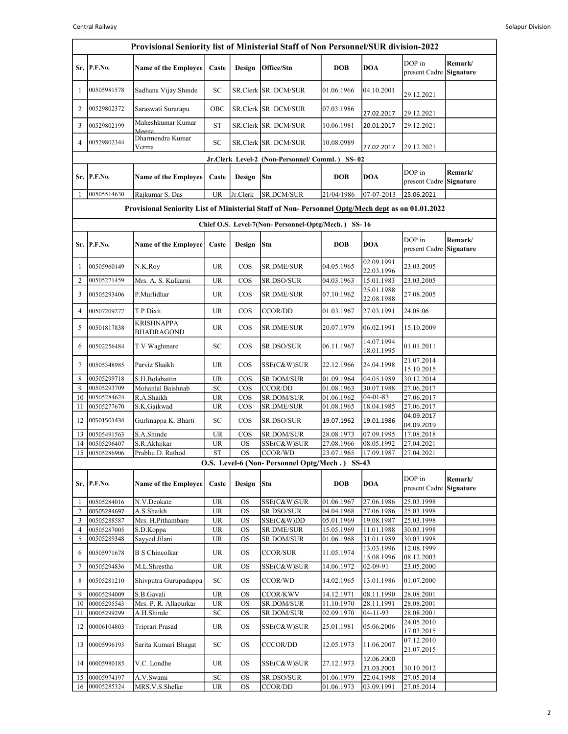|                | Provisional Seniority list of Ministerial Staff of Non Personnel/SUR division-2022               |                                     |                                   |                        |                                                             |                          |                              |                                   |                             |  |  |
|----------------|--------------------------------------------------------------------------------------------------|-------------------------------------|-----------------------------------|------------------------|-------------------------------------------------------------|--------------------------|------------------------------|-----------------------------------|-----------------------------|--|--|
|                | Sr. P.F.No.                                                                                      | <b>Name of the Employee</b>         | Caste                             | Design                 | Office/Stn                                                  | <b>DOB</b>               | <b>DOA</b>                   | DOP in<br>present Cadre           | Remark/<br><b>Signature</b> |  |  |
| 1              | 00505981578                                                                                      | Sadhana Vijay Shinde                | SС                                |                        | SR.Clerk SR. DCM/SUR                                        | 01.06.1966               | 04.10.2001                   | 29.12.2021                        |                             |  |  |
| 2              | 00529802372                                                                                      | Saraswati Surarapu                  | OBC                               |                        | SR.Clerk SR. DCM/SUR                                        | 07.03.1986               | 27.02.2017                   | 29.12.2021                        |                             |  |  |
| 3              | 00529802199                                                                                      | Maheshkumar Kumar<br>Meena          | <b>ST</b>                         |                        | SR.Clerk SR. DCM/SUR                                        | 10.06.1981               | 20.01.2017                   | 29.12.2021                        |                             |  |  |
| 4              | 00529802344                                                                                      | Dharmendra Kumar<br>Verma           | SC                                |                        | SR.Clerk SR. DCM/SUR                                        | 10.08.0989               | 27.02.2017                   | 29.12.2021                        |                             |  |  |
|                |                                                                                                  |                                     |                                   |                        | Jr.Clerk Level-2 (Non-Personnel/Comml.) SS-02               |                          |                              |                                   |                             |  |  |
|                | Sr. P.F.No.                                                                                      | Name of the Employee                | Caste                             | Design                 | Stn                                                         | <b>DOB</b>               | <b>DOA</b>                   | DOP in<br>present Cadre Signature | Remark/                     |  |  |
| 1              | 00505514630                                                                                      | Rajkumar S. Das                     | <b>UR</b>                         | Jr.Clerk               | SR.DCM/SUR                                                  | 21/04/1986               | 07-07-2013                   | 25.06.2021                        |                             |  |  |
|                | Provisional Seniority List of Ministerial Staff of Non-Personnel Optg/Mech dept as on 01.01.2022 |                                     |                                   |                        |                                                             |                          |                              |                                   |                             |  |  |
|                | Chief O.S. Level-7(Non-Personnel-Optg/Mech.) SS-16                                               |                                     |                                   |                        |                                                             |                          |                              |                                   |                             |  |  |
|                | Sr. P.F.No.                                                                                      | Name of the Employee                | Caste                             | Design                 | Stn                                                         | <b>DOB</b>               | <b>DOA</b>                   | DOP in<br>present Cadre Signature | Remark/                     |  |  |
| 1              | 00505960149                                                                                      | N.K.Roy                             | UR                                | <b>COS</b>             | <b>SR.DME/SUR</b>                                           | 04.05.1965               | 02.09.1991<br>22.03.1996     | 23.03.2005                        |                             |  |  |
| 2              | 00505271459                                                                                      | Mrs. A. S. Kulkarni                 | <b>UR</b>                         | $\cos$                 | SR.DSO/SUR                                                  | 04.03.1963               | 15.01.1983                   | 23.03.2005                        |                             |  |  |
| 3              | 00505293406                                                                                      | P.Murlidhar                         | UR                                | $\cos$                 | <b>SR.DME/SUR</b>                                           | 07.10.1962               | 25.01.1988<br>22.08.1988     | 27.08.2005                        |                             |  |  |
| 4              | 00507209277                                                                                      | T P Dixit                           | <b>UR</b>                         | COS                    | CCOR/DD                                                     | 01.03.1967               | 27.03.1991                   | 24.08.06                          |                             |  |  |
| 5              | 00501817838                                                                                      | KRISHNAPPA<br>BHADRAGOND            | UR                                | $\cos$                 | <b>SR.DME/SUR</b>                                           | 20.07.1979               | 06.02.1991                   | 15.10.2009                        |                             |  |  |
| 6              | 00502256484                                                                                      | T V Waghmare                        | SC                                | $\cos$                 | SR.DSO/SUR                                                  | 06.11.1967               | 14.07.1994<br>18.01.1995     | 01.01.2011                        |                             |  |  |
| 7              | 00505348985                                                                                      | Parviz Shaikh                       | <b>UR</b>                         | <b>COS</b>             | SSE(C&W)SUR                                                 | 22.12.1966               | 24.04.1998                   | 21.07.2014<br>15.10.2015          |                             |  |  |
| 8              | 00505299718                                                                                      | S.H.Bolabattin                      | <b>UR</b>                         | $\cos$                 | SR.DOM/SUR                                                  | 01.09.1964               | 04.05.1989                   | 30.12.2014                        |                             |  |  |
| 9              | 00505293709                                                                                      | Mohanlal Baishnab                   | SC                                | $\cos$                 | <b>CCOR/DD</b>                                              | 01.08.1963               | 30.07.1988                   | 27.06.2017                        |                             |  |  |
| 10<br>11       | 00505284624<br>00505277670                                                                       | R.A.Shaikh<br>S.K.Gaikwad           | <b>UR</b><br><b>UR</b>            | COS<br>$\cos$          | <b>SR.DOM/SUR</b><br><b>SR.DME/SUR</b>                      | 01.06.1962<br>01.08.1965 | $04 - 01 - 83$<br>18.04.1985 | 27.06.2017<br>27.06.2017          |                             |  |  |
| 12             | 00501501434                                                                                      | Gurlinappa K. Bharti                | SC                                | $\cos$                 | SR.DSO/SUR                                                  | 19.07.1962               | 19.01.1986                   | 04.09.2017<br>04.09.2019          |                             |  |  |
| 13             | 00505491563                                                                                      | S.A.Shinde                          | UR                                | $\cos$                 | <b>SR.DOM/SUR</b>                                           | 28.08.1973               | 07.09.1995                   | 17.08.2018                        |                             |  |  |
| 14             | 00505296407                                                                                      | S.R.Aklujkar                        | <b>UR</b>                         | <b>OS</b>              | SSE(C&W)SUR                                                 | 27.08.1966               | 08.05.1992                   | 27.04.2021                        |                             |  |  |
|                | 15 00505286906                                                                                   | Prabhu D. Rathod                    | $\overline{\text{ST}}$            |                        | OS CCOR/WD<br>O.S. Level-6 (Non-Personnel Optg/Mech.) SS-43 | 23.07.1965 17.09.1987    |                              | 27.04.2021                        |                             |  |  |
|                |                                                                                                  |                                     |                                   |                        |                                                             |                          |                              |                                   |                             |  |  |
|                | Sr. P.F.No.                                                                                      | Name of the Employee                | Caste                             | Design                 | Stn                                                         | <b>DOB</b>               | <b>DOA</b>                   | DOP in<br>present Cadre Signature | Remark/                     |  |  |
| 1              | 00505284016                                                                                      | N.V.Deokate                         | $\ensuremath{\mathsf{UR}}\xspace$ | <b>OS</b>              | SSE(C&W)SUR                                                 | 01.06.1967               | 27.06.1986                   | 25.03.1998                        |                             |  |  |
| $\overline{c}$ | 00505284697<br>00505288587                                                                       | A.S.Shaikh<br>Mrs. H.Pithambare     | <b>UR</b><br><b>UR</b>            | <b>OS</b>              | SR.DSO/SUR                                                  | 04.04.1968               | 27.06.1986<br>19.08.1987     | 25.03.1998<br>25.03.1998          |                             |  |  |
| 3<br>4         | 00505287005                                                                                      | S.D.Koppa                           | $\ensuremath{\mathsf{UR}}\xspace$ | <b>OS</b><br><b>OS</b> | SSE(C&W)DD<br>SR.DME/SUR                                    | 05.01.1969<br>15.05.1969 | 11.01.1988                   | 30.03.1998                        |                             |  |  |
| 5              | 00505289348                                                                                      | Sayyed Jilani                       | $\ensuremath{\mathsf{UR}}\xspace$ | <b>OS</b>              | SR.DOM/SUR                                                  | 01.06.1968               | 31.01.1989                   | 30.03.1998                        |                             |  |  |
| 6              | 00505971678                                                                                      | <b>B S Chincolkar</b>               | $\ensuremath{\mathsf{UR}}\xspace$ | <b>OS</b>              | <b>CCOR/SUR</b>                                             | 11.05.1974               | 13.03.1996<br>15.08.1996     | 12.08.1999<br>08.12.2003          |                             |  |  |
| $\tau$         | 00505294836                                                                                      | M.L.Shrestha                        | $\ensuremath{\mathsf{UR}}\xspace$ | <b>OS</b>              | SSE(C&W)SUR                                                 | 14.06.1972               | 02-09-91                     | 23.05.2000                        |                             |  |  |
| 8              | 00505281210                                                                                      | Shivputra Gurupadappa               | SC                                | <b>OS</b>              | CCOR/WD                                                     | 14.02.1965               | 13.01.1986                   | 01.07.2000                        |                             |  |  |
| 9              | 00005294009                                                                                      | S.B.Gavali                          | <b>UR</b>                         | <b>OS</b>              | <b>CCOR/KWV</b>                                             | 14.12.1971               | 08.11.1990                   | 28.08.2001                        |                             |  |  |
| 10<br>11       | 00005295543<br>00005299299                                                                       | Mrs. P. R. Allapurkar<br>A.H.Shinde | <b>UR</b><br>SC                   | <b>OS</b><br><b>OS</b> | SR.DOM/SUR<br>SR.DOM/SUR                                    | 11.10.1970<br>02.09.1970 | 28.11.1991<br>04-11-93       | 28.08.2001<br>28.08.2001          |                             |  |  |
| 12             | 00006104803                                                                                      | Triprari Prasad                     | $\ensuremath{\mathsf{UR}}\xspace$ | <b>OS</b>              | SSE(C&W)SUR                                                 | 25.01.1981               | 05.06.2006                   | 24.05.2010<br>17.03.2015          |                             |  |  |
| 13             | 00005996193                                                                                      | Sarita Kumari Bhagat                | SC                                | <b>OS</b>              | CCCOR/DD                                                    | 12.05.1973               | 11.06.2007                   | 07.12.2010<br>21.07.2015          |                             |  |  |
| 14             | 00005980185                                                                                      | V.C. Londhe                         | UR                                | <b>OS</b>              | SSE(C&W)SUR                                                 | 27.12.1973               | 12.06.2000<br>21.03.2001     | 30.10.2012                        |                             |  |  |
| 15             | 00005974197                                                                                      | A.V.Swami                           | ${\rm SC}$                        | <b>OS</b>              | SR.DSO/SUR                                                  | $\overline{01.06.19}$ 79 | 22.04.1998                   | 27.05.2014                        |                             |  |  |
| 16             | 00005285324                                                                                      | MRS.V.S.Shelke                      | $\ensuremath{\mathsf{UR}}\xspace$ | <b>OS</b>              | CCOR/DD                                                     | 01.06.1973               | 03.09.1991                   | 27.05.2014                        |                             |  |  |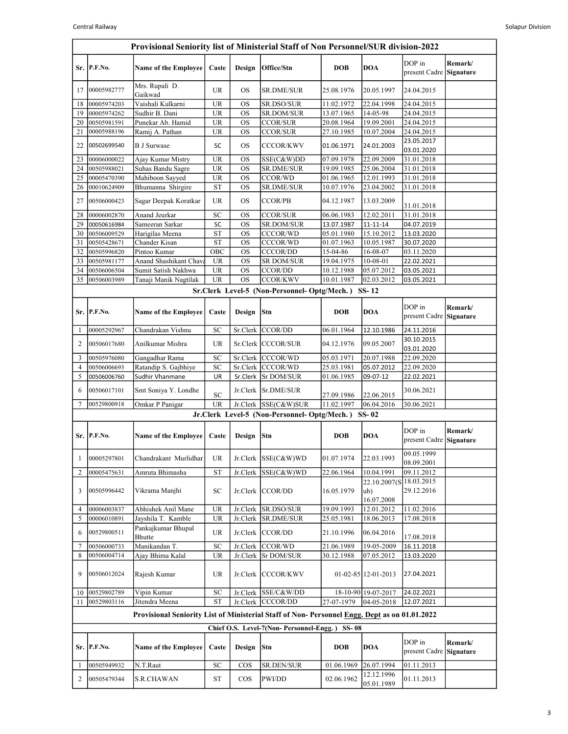|                   | Provisional Seniority list of Ministerial Staff of Non Personnel/SUR division-2022 |                                                                                              |                                   |           |                                                   |                          |                             |                                       |         |  |  |
|-------------------|------------------------------------------------------------------------------------|----------------------------------------------------------------------------------------------|-----------------------------------|-----------|---------------------------------------------------|--------------------------|-----------------------------|---------------------------------------|---------|--|--|
|                   | Sr. P.F.No.                                                                        | <b>Name of the Employee</b>                                                                  | Caste                             | Design    | Office/Stn                                        | <b>DOB</b>               | <b>DOA</b>                  | DOP in<br>present Cadre Signature     | Remark/ |  |  |
| 17                | 00005982777                                                                        | Mrs. Rupali D.<br>Gaikwad                                                                    | <b>UR</b>                         | <b>OS</b> | <b>SR.DME/SUR</b>                                 | 25.08.1976               | 20.05.1997                  | 24.04.2015                            |         |  |  |
| 18                | 00005974203                                                                        | Vaishali Kulkarni                                                                            | <b>UR</b>                         | <b>OS</b> | SR.DSO/SUR                                        | 11.02.1972               | 22.04.1998                  | 24.04.2015                            |         |  |  |
| 19                | 00005974262                                                                        | Sudhir B. Dani                                                                               | <b>UR</b>                         | <b>OS</b> | SR.DOM/SUR                                        | 13.07.1965               | 14-05-98                    | 24.04.2015                            |         |  |  |
| 20                | 00505981591                                                                        | Punekar Ab. Hamid                                                                            | <b>UR</b>                         | <b>OS</b> | <b>CCOR/SUR</b>                                   | 20.08.1964               | 19.09.2001                  | 24.04.2015                            |         |  |  |
| 21                | 00005988196                                                                        | Ramij A. Pathan                                                                              | <b>UR</b>                         | <b>OS</b> | <b>CCOR/SUR</b>                                   | 27.10.1985               | 10.07.2004                  | 24.04.2015                            |         |  |  |
| 22                | 00502699540                                                                        | <b>B J Surwase</b>                                                                           | SC                                | <b>OS</b> | <b>CCCOR/KWV</b>                                  | 01.06.1971               | 24.01.2003                  | 23.05.2017<br>03.01.2020              |         |  |  |
| 23                | 00006000022                                                                        | Ajay Kumar Mistry                                                                            | <b>UR</b>                         | <b>OS</b> | SSE(C&W)DD                                        | 07.09.1978               | 22.09.2009                  | 31.01.2018                            |         |  |  |
| 24                | 00505988021                                                                        | Suhas Bandu Sagre                                                                            | <b>UR</b>                         | <b>OS</b> | SR.DME/SUR                                        | 19.09.1985               | 25.06.2004                  | 31.01.2018                            |         |  |  |
| 25                | 00005470390                                                                        | Mahiboon Sayyed                                                                              | <b>UR</b>                         | <b>OS</b> | <b>CCOR/WD</b>                                    | 01.06.1965               | 12.01.1993                  | 31.01.2018                            |         |  |  |
| 26                | 00010624909                                                                        | Bhumanna Shirgire                                                                            | <b>ST</b>                         | <b>OS</b> | SR.DME/SUR                                        | 10.07.1976               | 23.04.2002                  | 31.01.2018                            |         |  |  |
| 27                | 00506000423                                                                        | Sagar Deepak Koratkar                                                                        | <b>UR</b>                         | <b>OS</b> | <b>CCOR/PB</b>                                    | 04.12.1987               | 13.03.2009                  | 31.01.2018                            |         |  |  |
| 28                | 00006002870                                                                        | Anand Jeurkar                                                                                | SC                                | <b>OS</b> | <b>CCOR/SUR</b>                                   | 06.06.1983               | 12.02.2011                  | 31.01.2018                            |         |  |  |
| 29                | 00050616984                                                                        | Sameeran Sarkar                                                                              | SC                                | <b>OS</b> | SR.DOM/SUR                                        | 13.07.1987               | 11-11-14                    | 04.07.2019                            |         |  |  |
| 30                | 00506009529                                                                        | Harigilas Meena                                                                              | <b>ST</b>                         | <b>OS</b> | <b>CCCOR/WD</b>                                   | 05.01.1980               | 15.10.2012                  | 13.03.2020                            |         |  |  |
| 31                | 00505428671                                                                        | Chander Kisan                                                                                | <b>ST</b>                         | <b>OS</b> | CCCOR/WD                                          | 01.07.1963               | 10.05.1987                  | 30.07.2020                            |         |  |  |
| 32                | 00505996820                                                                        | Pintoo Kumar                                                                                 | OBC                               | <b>OS</b> | <b>CCCOR/DD</b>                                   | 15-04-86                 | 16-08-07                    | 03.11.2020                            |         |  |  |
| 33                | 00505981177                                                                        | Anand Shashikant Chav                                                                        | <b>UR</b>                         | <b>OS</b> | <b>SR DOM/SUR</b>                                 | 19.04.1975               | 10-08-01                    | 22.02.2021                            |         |  |  |
| 34                | 00506006504                                                                        | Sumit Satish Nakhwa                                                                          | $\ensuremath{\mathsf{UR}}\xspace$ | <b>OS</b> | <b>CCOR/DD</b>                                    | 10.12.1988               | 05.07.2012                  | 03.05.2021                            |         |  |  |
| 35                | 00506003989                                                                        | Tanaji Manik Nagtilak                                                                        | <b>UR</b>                         | <b>OS</b> | <b>CCOR/KWV</b>                                   | 10.01.1987               | 02.03.2012                  | 03.05.2021                            |         |  |  |
|                   |                                                                                    |                                                                                              |                                   |           | Sr.Clerk Level-5 (Non-Personnel-Optg/Mech.) SS-12 |                          |                             |                                       |         |  |  |
|                   | Sr. P.F.No.                                                                        | Name of the Employee                                                                         | Caste                             | Design    | <b>Stn</b>                                        | <b>DOB</b>               | <b>DOA</b>                  | DOP in<br>present Cadre Signature     | Remark/ |  |  |
| 1                 | 00005292967                                                                        | Chandrakan Vishnu                                                                            | SC                                |           | Sr.Clerk CCOR/DD                                  | 06.01.1964               | 12.10.1986                  | 24.11.2016                            |         |  |  |
| 2                 | 00506017680                                                                        | Anilkumar Mishra                                                                             | UR                                |           | Sr.Clerk CCCOR/SUR                                | 04.12.1976               | 09.05.2007                  | 30.10.2015<br>03.01.2020              |         |  |  |
| 3                 | 00505976080                                                                        | Gangadhar Rama                                                                               | SC                                |           | Sr.Clerk CCCOR/WD                                 | 05.03.1971               | 20.07.1988                  | 22.09.2020                            |         |  |  |
| $\overline{4}$    | 00506006693                                                                        | Ratandip S. Gajbhiye                                                                         | <b>SC</b>                         |           | Sr.Clerk CCCOR/WD                                 | 25.03.1981               | 05.07.2012                  | 22.09.2020                            |         |  |  |
| 5                 | 00506006760                                                                        | Sudhir Vhanmane                                                                              | UR                                | Sr.Clerk  | <b>Sr DOM/SUR</b>                                 | 01.06.1985               | 09-07-12                    | 22.02.2021                            |         |  |  |
| 6                 | 00506017101                                                                        | Smt Soniya Y. Londhe                                                                         | SC                                |           | Jr.Clerk Sr.DME/SUR                               | 27.09.1986               | 22.06.2015                  | 30.06.2021                            |         |  |  |
| 7                 | 00529800918                                                                        | Omkar P Panigar                                                                              | <b>UR</b>                         |           | Jr.Clerk SSE(C&W)SUR                              | 11.02.1997               | 06.04.2016                  | 30.06.2021                            |         |  |  |
|                   |                                                                                    |                                                                                              |                                   |           | Jr.Clerk Level-5 (Non-Personnel-Optg/Mech.)       |                          | $SS-02$                     |                                       |         |  |  |
|                   | Sr. P.F.No.                                                                        | Name of the Employee                                                                         | Caste                             | Design    | Stn                                               | <b>DOB</b>               | <b>DOA</b>                  | DOP in                                | Remark/ |  |  |
|                   |                                                                                    |                                                                                              |                                   |           |                                                   |                          |                             | present Cadre Signature<br>09.05.1999 |         |  |  |
| $\mathbf{1}$<br>2 | 00005297801<br>00005475631                                                         | Chandrakant Murlidhar<br>Amruta Bhimasha                                                     | UR.<br><b>ST</b>                  | Jr.Clerk  | Jr.Clerk SSE(C&W)WD<br>SSE(C&W)WD                 | 01.07.1974<br>22.06.1964 | 22.03.1993<br>10.04.1991    | 08.09.2001<br>09.11.2012              |         |  |  |
|                   |                                                                                    |                                                                                              |                                   |           |                                                   |                          | 22.10.2007(S                | 18.03.2015                            |         |  |  |
| 3                 | 00505996442                                                                        | Vikrama Manjhi                                                                               | SС                                |           | Jr.Clerk CCOR/DD                                  | 16.05.1979               | ub)<br>16.07.2008           | 29.12.2016                            |         |  |  |
| 4                 | 00006003837                                                                        | Abhishek Anil Mane                                                                           | UR.                               | Jr.Clerk  | SR.DSO/SUR                                        | 19.09.1993               | 12.01.2012                  | 11.02.2016                            |         |  |  |
| 5                 | 00006010891                                                                        | Jayshila T. Kamble                                                                           | UR.                               | Jr.Clerk  | SR.DME/SUR                                        | 25.05.1981               | 18.06.2013                  | 17.08.2018                            |         |  |  |
| 6                 | 00529800511                                                                        | Pankajkumar Bhupal<br>Bhutte                                                                 | <b>UR</b>                         |           | Jr.Clerk CCOR/DD                                  | 21.10.1996               | 06.04.2016                  | 17.08.2018                            |         |  |  |
| 7                 | 00506000733                                                                        | Manikandan T.                                                                                | SC                                | Jr.Clerk  | CCOR/WD                                           | 21.06.1989               | 19-05-2009                  | 16.11.2018                            |         |  |  |
| 8                 | 00506004714                                                                        | Ajay Bhima Kalal                                                                             | UR                                | Jr.Clerk  | <b>Sr DOM/SUR</b>                                 | 30.12.1988               | 07.05.2012                  | 13.03.2020                            |         |  |  |
| 9                 | 00506012024                                                                        | Rajesh Kumar                                                                                 | <b>UR</b>                         |           | Jr.Clerk CCCOR/KWV                                |                          | $01 - 02 - 85$   12-01-2013 | 27.04.2021                            |         |  |  |
| 10                | 00529802789                                                                        | Vipin Kumar                                                                                  | SC                                |           | Jr.Clerk SSE/C&W/DD                               |                          | 18-10-90 19-07-2017         | 24.02.2021                            |         |  |  |
| 11                | 00529803116                                                                        | Jitendra Meena                                                                               | <b>ST</b>                         |           | Jr.Clerk CCCOR/DD                                 | 27-07-1979               | $04 - 05 - 2018$            | 12.07.2021                            |         |  |  |
|                   |                                                                                    | Provisional Seniority List of Ministerial Staff of Non-Personnel Engg. Dept as on 01.01.2022 |                                   |           |                                                   |                          |                             |                                       |         |  |  |
|                   |                                                                                    |                                                                                              |                                   |           | Chief O.S. Level-7(Non-Personnel-Engg.)           | <b>SS-08</b>             |                             |                                       |         |  |  |
|                   | Sr. P.F.No.                                                                        | <b>Name of the Employee</b>                                                                  | Caste                             | Design    | <b>Stn</b>                                        | <b>DOB</b>               | <b>DOA</b>                  | DOP in<br>present Cadre Signature     | Remark/ |  |  |
| 1                 | 00505949932                                                                        | N.T.Raut                                                                                     | ${\rm SC}$                        | COS       | SR.DEN/SUR                                        | 01.06.1969               | 26.07.1994                  | 01.11.2013                            |         |  |  |
| 2                 | 00505479344                                                                        | <b>S.R.CHAWAN</b>                                                                            | ST                                | $\cos$    | PWI/DD                                            | 02.06.1962               | 12.12.1996<br>05.01.1989    | 01.11.2013                            |         |  |  |
|                   |                                                                                    |                                                                                              |                                   |           |                                                   |                          |                             |                                       |         |  |  |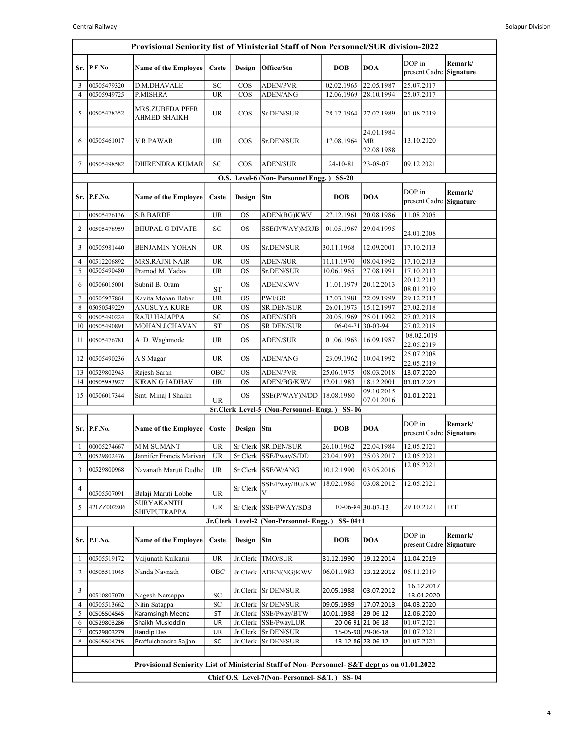| DOP in<br>P.F.No.<br><b>DOB</b><br><b>DOA</b><br>Sr.<br>Name of the Employee<br>Caste<br>Design<br>Office/Stn<br>00505479320<br>SC<br><b>ADEN/PVR</b><br>22.05.1987<br>D.M.DHAVALE<br>$\cos$<br>02.02.1965<br>25.07.2017<br>3<br><b>UR</b><br>COS<br>ADEN/ANG<br>28.10.1994<br>25.07.2017<br>4<br>00505949725<br>P.MISHRA<br>12.06.1969<br>MRS.ZUBEDA PEER<br>00505478352<br><b>UR</b><br>$\cos$<br>5<br>Sr.DEN/SUR<br>28.12.1964<br>27.02.1989<br>01.08.2019<br><b>AHMED SHAIKH</b><br>24.01.1984<br><b>MR</b><br>13.10.2020<br>00505461017<br>V.R.PAWAR<br>UR<br>$\cos$<br>Sr.DEN/SUR<br>17.08.1964<br>6<br>22.08.1988<br>SC<br>7<br><b>DHIRENDRA KUMAR</b><br>$\cos$<br><b>ADEN/SUR</b><br>24-10-81<br>23-08-07<br>09.12.2021<br>00505498582<br>O.S. Level-6 (Non-Personnel Engg.)<br>$SS-20$<br>DOP in<br>Stn<br><b>DOB</b><br><b>DOA</b><br>P.F.No.<br><b>Name of the Employee</b><br>Caste<br>Design<br>Sr.<br><b>UR</b><br><b>S.B.BARDE</b><br><b>OS</b><br>ADEN(BG)KWV<br>27.12.1961<br>20.08.1986<br>11.08.2005<br>00505476136<br>1<br>$\overline{2}$<br><b>SC</b><br>01.05.1967<br>00505478959<br><b>BHUPAL G DIVATE</b><br>OS<br>SSE(P/WAY)MRJB<br>29.04.1995<br>24.01.2008<br>UR<br><b>OS</b><br>30.11.1968<br>12.09.2001<br>17.10.2013<br>3<br>00505981440<br><b>BENJAMIN YOHAN</b><br>Sr.DEN/SUR<br><b>UR</b><br>00512206892<br><b>MRS.RAJNI NAIR</b><br>OS<br><b>ADEN/SUR</b><br>11.11.1970<br>08.04.1992<br>17.10.2013<br>4<br>Pramod M. Yadav<br><b>UR</b><br><b>OS</b><br>Sr.DEN/SUR<br>10.06.1965<br>27.08.1991<br>17.10.2013<br>5<br>00505490480<br>20.12.2013 | Remark/<br>present Cadre Signature<br>Remark/<br>present Cadre Signature                     |  |  |  |  |  |  |  |  |  |  |  |
|------------------------------------------------------------------------------------------------------------------------------------------------------------------------------------------------------------------------------------------------------------------------------------------------------------------------------------------------------------------------------------------------------------------------------------------------------------------------------------------------------------------------------------------------------------------------------------------------------------------------------------------------------------------------------------------------------------------------------------------------------------------------------------------------------------------------------------------------------------------------------------------------------------------------------------------------------------------------------------------------------------------------------------------------------------------------------------------------------------------------------------------------------------------------------------------------------------------------------------------------------------------------------------------------------------------------------------------------------------------------------------------------------------------------------------------------------------------------------------------------------------------------------------------------------------------------------------|----------------------------------------------------------------------------------------------|--|--|--|--|--|--|--|--|--|--|--|
|                                                                                                                                                                                                                                                                                                                                                                                                                                                                                                                                                                                                                                                                                                                                                                                                                                                                                                                                                                                                                                                                                                                                                                                                                                                                                                                                                                                                                                                                                                                                                                                    |                                                                                              |  |  |  |  |  |  |  |  |  |  |  |
|                                                                                                                                                                                                                                                                                                                                                                                                                                                                                                                                                                                                                                                                                                                                                                                                                                                                                                                                                                                                                                                                                                                                                                                                                                                                                                                                                                                                                                                                                                                                                                                    |                                                                                              |  |  |  |  |  |  |  |  |  |  |  |
|                                                                                                                                                                                                                                                                                                                                                                                                                                                                                                                                                                                                                                                                                                                                                                                                                                                                                                                                                                                                                                                                                                                                                                                                                                                                                                                                                                                                                                                                                                                                                                                    |                                                                                              |  |  |  |  |  |  |  |  |  |  |  |
|                                                                                                                                                                                                                                                                                                                                                                                                                                                                                                                                                                                                                                                                                                                                                                                                                                                                                                                                                                                                                                                                                                                                                                                                                                                                                                                                                                                                                                                                                                                                                                                    |                                                                                              |  |  |  |  |  |  |  |  |  |  |  |
|                                                                                                                                                                                                                                                                                                                                                                                                                                                                                                                                                                                                                                                                                                                                                                                                                                                                                                                                                                                                                                                                                                                                                                                                                                                                                                                                                                                                                                                                                                                                                                                    |                                                                                              |  |  |  |  |  |  |  |  |  |  |  |
|                                                                                                                                                                                                                                                                                                                                                                                                                                                                                                                                                                                                                                                                                                                                                                                                                                                                                                                                                                                                                                                                                                                                                                                                                                                                                                                                                                                                                                                                                                                                                                                    |                                                                                              |  |  |  |  |  |  |  |  |  |  |  |
|                                                                                                                                                                                                                                                                                                                                                                                                                                                                                                                                                                                                                                                                                                                                                                                                                                                                                                                                                                                                                                                                                                                                                                                                                                                                                                                                                                                                                                                                                                                                                                                    |                                                                                              |  |  |  |  |  |  |  |  |  |  |  |
|                                                                                                                                                                                                                                                                                                                                                                                                                                                                                                                                                                                                                                                                                                                                                                                                                                                                                                                                                                                                                                                                                                                                                                                                                                                                                                                                                                                                                                                                                                                                                                                    |                                                                                              |  |  |  |  |  |  |  |  |  |  |  |
|                                                                                                                                                                                                                                                                                                                                                                                                                                                                                                                                                                                                                                                                                                                                                                                                                                                                                                                                                                                                                                                                                                                                                                                                                                                                                                                                                                                                                                                                                                                                                                                    |                                                                                              |  |  |  |  |  |  |  |  |  |  |  |
|                                                                                                                                                                                                                                                                                                                                                                                                                                                                                                                                                                                                                                                                                                                                                                                                                                                                                                                                                                                                                                                                                                                                                                                                                                                                                                                                                                                                                                                                                                                                                                                    |                                                                                              |  |  |  |  |  |  |  |  |  |  |  |
|                                                                                                                                                                                                                                                                                                                                                                                                                                                                                                                                                                                                                                                                                                                                                                                                                                                                                                                                                                                                                                                                                                                                                                                                                                                                                                                                                                                                                                                                                                                                                                                    |                                                                                              |  |  |  |  |  |  |  |  |  |  |  |
|                                                                                                                                                                                                                                                                                                                                                                                                                                                                                                                                                                                                                                                                                                                                                                                                                                                                                                                                                                                                                                                                                                                                                                                                                                                                                                                                                                                                                                                                                                                                                                                    |                                                                                              |  |  |  |  |  |  |  |  |  |  |  |
| Subnil B. Oram<br>20.12.2013<br>6<br>00506015001<br>OS<br><b>ADEN/KWV</b><br>11.01.1979<br><b>ST</b><br>08.01.2019                                                                                                                                                                                                                                                                                                                                                                                                                                                                                                                                                                                                                                                                                                                                                                                                                                                                                                                                                                                                                                                                                                                                                                                                                                                                                                                                                                                                                                                                 |                                                                                              |  |  |  |  |  |  |  |  |  |  |  |
| UR<br>PWI/GR<br>22.09.1999<br><b>OS</b><br>17.03.1981<br>29.12.2013<br>7<br>00505977861<br>Kavita Mohan Babar<br><b>ANUSUYA KURE</b><br><b>UR</b><br>15.12.1997<br>8<br>05050549229<br><b>OS</b><br><b>SR.DEN/SUR</b><br>26.01.1973<br>27.02.2018                                                                                                                                                                                                                                                                                                                                                                                                                                                                                                                                                                                                                                                                                                                                                                                                                                                                                                                                                                                                                                                                                                                                                                                                                                                                                                                                  |                                                                                              |  |  |  |  |  |  |  |  |  |  |  |
| 9<br>00505490224<br>RAJU HAJAPPA<br>$\ensuremath{\mathbf{SC}}$<br><b>ADEN/SDB</b><br>20.05.1969<br>25.01.1992<br>27.02.2018<br><b>OS</b>                                                                                                                                                                                                                                                                                                                                                                                                                                                                                                                                                                                                                                                                                                                                                                                                                                                                                                                                                                                                                                                                                                                                                                                                                                                                                                                                                                                                                                           |                                                                                              |  |  |  |  |  |  |  |  |  |  |  |
| MOHAN J.CHAVAN<br><b>ST</b><br>SR.DEN/SUR<br>06-04-71 30-03-94<br>27.02.2018<br>00505490891<br>OS<br>10                                                                                                                                                                                                                                                                                                                                                                                                                                                                                                                                                                                                                                                                                                                                                                                                                                                                                                                                                                                                                                                                                                                                                                                                                                                                                                                                                                                                                                                                            |                                                                                              |  |  |  |  |  |  |  |  |  |  |  |
| 08.02.2019<br>00505476781<br><b>UR</b><br><b>OS</b><br>16.09.1987<br>11<br>A. D. Waghmode<br><b>ADEN/SUR</b><br>01.06.1963<br>22.05.2019                                                                                                                                                                                                                                                                                                                                                                                                                                                                                                                                                                                                                                                                                                                                                                                                                                                                                                                                                                                                                                                                                                                                                                                                                                                                                                                                                                                                                                           |                                                                                              |  |  |  |  |  |  |  |  |  |  |  |
| 25.07.2008<br><b>UR</b><br>23.09.1962<br>10.04.1992<br>00505490236<br>A S Magar<br>OS<br><b>ADEN/ANG</b><br>12<br>22.05.2019                                                                                                                                                                                                                                                                                                                                                                                                                                                                                                                                                                                                                                                                                                                                                                                                                                                                                                                                                                                                                                                                                                                                                                                                                                                                                                                                                                                                                                                       |                                                                                              |  |  |  |  |  |  |  |  |  |  |  |
| 00529802943<br>Rajesh Saran<br>OBC<br>OS<br><b>ADEN/PVR</b><br>25.06.1975<br>08.03.2018<br>13.07.2020<br>13                                                                                                                                                                                                                                                                                                                                                                                                                                                                                                                                                                                                                                                                                                                                                                                                                                                                                                                                                                                                                                                                                                                                                                                                                                                                                                                                                                                                                                                                        |                                                                                              |  |  |  |  |  |  |  |  |  |  |  |
| <b>KIRAN G JADHAV</b><br><b>UR</b><br>OS<br>ADEN/BG/KWV<br>12.01.1983<br>18.12.2001<br>00505983927<br>01.01.2021<br>14                                                                                                                                                                                                                                                                                                                                                                                                                                                                                                                                                                                                                                                                                                                                                                                                                                                                                                                                                                                                                                                                                                                                                                                                                                                                                                                                                                                                                                                             |                                                                                              |  |  |  |  |  |  |  |  |  |  |  |
| 09.10.2015<br>00506017344<br><b>OS</b><br>18.08.1980<br>15<br>Smt. Minaj I Shaikh<br>SSE(P/WAY)N/DD<br>01.01.2021<br>07.01.2016<br><b>UR</b>                                                                                                                                                                                                                                                                                                                                                                                                                                                                                                                                                                                                                                                                                                                                                                                                                                                                                                                                                                                                                                                                                                                                                                                                                                                                                                                                                                                                                                       |                                                                                              |  |  |  |  |  |  |  |  |  |  |  |
| Sr.Clerk Level-5 (Non-Personnel-Engg.) SS-06                                                                                                                                                                                                                                                                                                                                                                                                                                                                                                                                                                                                                                                                                                                                                                                                                                                                                                                                                                                                                                                                                                                                                                                                                                                                                                                                                                                                                                                                                                                                       |                                                                                              |  |  |  |  |  |  |  |  |  |  |  |
| DOP in<br><b>DOA</b><br>P.F.No.<br><b>Name of the Employee</b><br>Caste<br>Design<br>Stn<br><b>DOB</b><br>Sr.                                                                                                                                                                                                                                                                                                                                                                                                                                                                                                                                                                                                                                                                                                                                                                                                                                                                                                                                                                                                                                                                                                                                                                                                                                                                                                                                                                                                                                                                      | Remark/<br>present Cadre Signature                                                           |  |  |  |  |  |  |  |  |  |  |  |
| <b>UR</b><br>M M SUMANT<br>Sr Clerk SR.DEN/SUR<br>26.10.1962<br>22.04.1984<br>12.05.2021<br>00005274667<br>1                                                                                                                                                                                                                                                                                                                                                                                                                                                                                                                                                                                                                                                                                                                                                                                                                                                                                                                                                                                                                                                                                                                                                                                                                                                                                                                                                                                                                                                                       |                                                                                              |  |  |  |  |  |  |  |  |  |  |  |
| $\overline{\mathbf{c}}$<br>00529802476<br>Jannifer Francis Mariyan<br>UR<br>Sr Clerk SSE/Pway/S/DD<br>23.04.1993<br>25.03.2017<br>12.05.2021                                                                                                                                                                                                                                                                                                                                                                                                                                                                                                                                                                                                                                                                                                                                                                                                                                                                                                                                                                                                                                                                                                                                                                                                                                                                                                                                                                                                                                       |                                                                                              |  |  |  |  |  |  |  |  |  |  |  |
| 12.05.2021<br>Sr Clerk SSE/W/ANG<br>10.12.1990<br>03.05.2016<br>3<br>00529800968<br>Navanath Maruti Dudhe<br>UR                                                                                                                                                                                                                                                                                                                                                                                                                                                                                                                                                                                                                                                                                                                                                                                                                                                                                                                                                                                                                                                                                                                                                                                                                                                                                                                                                                                                                                                                    |                                                                                              |  |  |  |  |  |  |  |  |  |  |  |
| 18.02.1986<br>12.05.2021<br>03.08.2012<br>SSE/Pway/BG/KW<br>Sr Clerk<br>4<br>V<br>UR<br>00505507091<br>Balaji Maruti Lobhe                                                                                                                                                                                                                                                                                                                                                                                                                                                                                                                                                                                                                                                                                                                                                                                                                                                                                                                                                                                                                                                                                                                                                                                                                                                                                                                                                                                                                                                         |                                                                                              |  |  |  |  |  |  |  |  |  |  |  |
| <b>SURYAKANTH</b><br>10-06-84 30-07-13<br>5<br>421ZZ002806<br>UR<br>Sr Clerk SSE/PWAY/SDB<br>29.10.2021<br><b>SHIVPUTRAPPA</b>                                                                                                                                                                                                                                                                                                                                                                                                                                                                                                                                                                                                                                                                                                                                                                                                                                                                                                                                                                                                                                                                                                                                                                                                                                                                                                                                                                                                                                                     | IRT                                                                                          |  |  |  |  |  |  |  |  |  |  |  |
| Jr.Clerk Level-2 (Non-Personnel- Engg.)<br>$SS - 04 + 1$                                                                                                                                                                                                                                                                                                                                                                                                                                                                                                                                                                                                                                                                                                                                                                                                                                                                                                                                                                                                                                                                                                                                                                                                                                                                                                                                                                                                                                                                                                                           |                                                                                              |  |  |  |  |  |  |  |  |  |  |  |
| DOP in<br>P.F.No.<br>Name of the Employee<br>Caste<br>Design<br>Stn<br><b>DOB</b><br><b>DOA</b><br>Sr. I                                                                                                                                                                                                                                                                                                                                                                                                                                                                                                                                                                                                                                                                                                                                                                                                                                                                                                                                                                                                                                                                                                                                                                                                                                                                                                                                                                                                                                                                           | Remark/<br>present Cadre Signature                                                           |  |  |  |  |  |  |  |  |  |  |  |
| Vaijunath Kulkarni<br><b>UR</b><br>TMO/SUR<br>00505519172<br>Jr.Clerk<br>31.12.1990<br>19.12.2014<br>11.04.2019<br>1                                                                                                                                                                                                                                                                                                                                                                                                                                                                                                                                                                                                                                                                                                                                                                                                                                                                                                                                                                                                                                                                                                                                                                                                                                                                                                                                                                                                                                                               |                                                                                              |  |  |  |  |  |  |  |  |  |  |  |
| 00505511045<br>Nanda Navnath<br>OBC<br>Jr.Clerk   ADEN(NG)KWV<br>06.01.1983<br>2<br>13.12.2012<br>05.11.2019                                                                                                                                                                                                                                                                                                                                                                                                                                                                                                                                                                                                                                                                                                                                                                                                                                                                                                                                                                                                                                                                                                                                                                                                                                                                                                                                                                                                                                                                       |                                                                                              |  |  |  |  |  |  |  |  |  |  |  |
| 3<br>Jr.Clerk   Sr DEN/SUR<br>03.07.2012<br>20.05.1988<br>SC<br>00510807070<br>Nagesh Narsappa                                                                                                                                                                                                                                                                                                                                                                                                                                                                                                                                                                                                                                                                                                                                                                                                                                                                                                                                                                                                                                                                                                                                                                                                                                                                                                                                                                                                                                                                                     | 16.12.2017<br>13.01.2020                                                                     |  |  |  |  |  |  |  |  |  |  |  |
| Nitin Satappa<br>Jr.Clerk Sr DEN/SUR<br>00505513662<br>SC<br>04.03.2020<br>4<br>09.05.1989<br>17.07.2013                                                                                                                                                                                                                                                                                                                                                                                                                                                                                                                                                                                                                                                                                                                                                                                                                                                                                                                                                                                                                                                                                                                                                                                                                                                                                                                                                                                                                                                                           |                                                                                              |  |  |  |  |  |  |  |  |  |  |  |
| Karamsingh Meena<br>Jr.Clerk SSE/Pway/BTW<br>5<br>00505504545<br>ST<br>10.01.1988<br>29-06-12<br>12.06.2020                                                                                                                                                                                                                                                                                                                                                                                                                                                                                                                                                                                                                                                                                                                                                                                                                                                                                                                                                                                                                                                                                                                                                                                                                                                                                                                                                                                                                                                                        |                                                                                              |  |  |  |  |  |  |  |  |  |  |  |
| Shaikh Musloddin<br>Jr.Clerk SSE/PwayLUR<br>20-06-91 21-06-18<br>01.07.2021<br>6<br>00529803286<br>UR<br>Jr.Clerk Sr DEN/SUR<br>01.07.2021<br>15-05-90 29-06-18<br>7<br>00529803279<br>Randip Das<br>UR                                                                                                                                                                                                                                                                                                                                                                                                                                                                                                                                                                                                                                                                                                                                                                                                                                                                                                                                                                                                                                                                                                                                                                                                                                                                                                                                                                            |                                                                                              |  |  |  |  |  |  |  |  |  |  |  |
| 8<br>Praffulchandra Sajjan<br>SC<br>Jr.Clerk Sr DEN/SUR<br>13-12-86 23-06-12<br>01.07.2021<br>00505504715                                                                                                                                                                                                                                                                                                                                                                                                                                                                                                                                                                                                                                                                                                                                                                                                                                                                                                                                                                                                                                                                                                                                                                                                                                                                                                                                                                                                                                                                          |                                                                                              |  |  |  |  |  |  |  |  |  |  |  |
|                                                                                                                                                                                                                                                                                                                                                                                                                                                                                                                                                                                                                                                                                                                                                                                                                                                                                                                                                                                                                                                                                                                                                                                                                                                                                                                                                                                                                                                                                                                                                                                    |                                                                                              |  |  |  |  |  |  |  |  |  |  |  |
|                                                                                                                                                                                                                                                                                                                                                                                                                                                                                                                                                                                                                                                                                                                                                                                                                                                                                                                                                                                                                                                                                                                                                                                                                                                                                                                                                                                                                                                                                                                                                                                    |                                                                                              |  |  |  |  |  |  |  |  |  |  |  |
| Chief O.S. Level-7(Non-Personnel-S&T.) SS-04                                                                                                                                                                                                                                                                                                                                                                                                                                                                                                                                                                                                                                                                                                                                                                                                                                                                                                                                                                                                                                                                                                                                                                                                                                                                                                                                                                                                                                                                                                                                       | Provisional Seniority List of Ministerial Staff of Non- Personnel- S&T dept as on 01.01.2022 |  |  |  |  |  |  |  |  |  |  |  |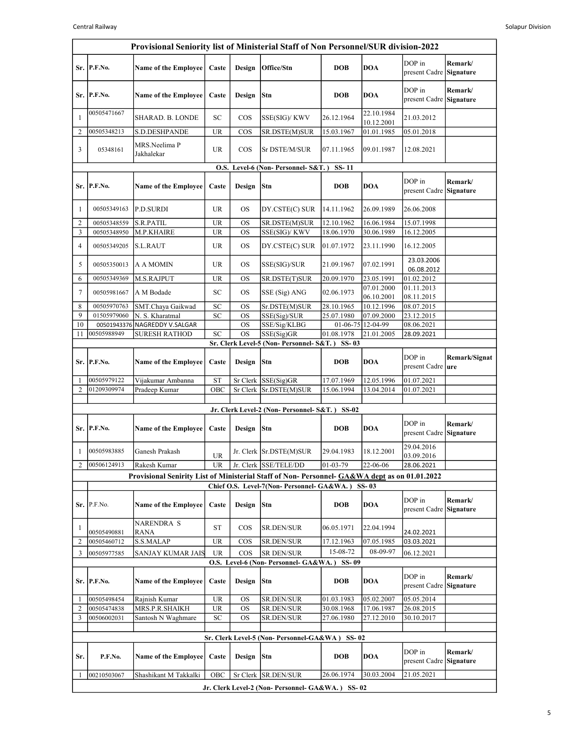|                | Provisional Seniority list of Ministerial Staff of Non Personnel/SUR division-2022 |                                                                                              |                 |                        |                                                              |                          |                          |                                      |                      |  |  |
|----------------|------------------------------------------------------------------------------------|----------------------------------------------------------------------------------------------|-----------------|------------------------|--------------------------------------------------------------|--------------------------|--------------------------|--------------------------------------|----------------------|--|--|
|                | Sr. P.F.No.                                                                        | <b>Name of the Employee</b>                                                                  | Caste           | Design                 | Office/Stn                                                   | <b>DOB</b>               | <b>DOA</b>               | DOP in<br>present Cadre              | Remark/<br>Signature |  |  |
|                | Sr. P.F.No.                                                                        | <b>Name of the Employee</b>                                                                  | Caste           | Design                 | Stn                                                          | <b>DOB</b>               | <b>DOA</b>               | DOP in<br>present Cadre              | Remark/<br>Signature |  |  |
| 1              | 00505471667                                                                        | SHARAD. B. LONDE                                                                             | SC              | $\cos$                 | SSE(SIG)/ KWV                                                | 26.12.1964               | 22.10.1984<br>10.12.2001 | 21.03.2012                           |                      |  |  |
| $\overline{2}$ | 00505348213                                                                        | S.D.DESHPANDE                                                                                | <b>UR</b>       | $\cos$                 | SR.DSTE(M)SUR                                                | 15.03.1967               | 01.01.1985               | 05.01.2018                           |                      |  |  |
| 3              | 05348161                                                                           | MRS.Neelima P<br>Jakhalekar                                                                  | <b>UR</b>       | $\cos$                 | Sr DSTE/M/SUR                                                | 07.11.1965               | 09.01.1987               | 12.08.2021                           |                      |  |  |
|                | O.S. Level-6 (Non-Personnel-S&T.)<br>SS-11                                         |                                                                                              |                 |                        |                                                              |                          |                          |                                      |                      |  |  |
|                | Sr. P.F.No.                                                                        | <b>Name of the Employee</b>                                                                  | Caste           | Design                 | Stn                                                          | <b>DOB</b>               | <b>DOA</b>               | DOP in<br>present Cadre Signature    | Remark/              |  |  |
| $\mathbf{1}$   | 00505349163                                                                        | <b>P.D.SURDI</b>                                                                             | UR              | <b>OS</b>              | DY.CSTE(C) SUR                                               | 14.11.1962               | 26.09.1989               | 26.06.2008                           |                      |  |  |
| 2<br>3         | 00505348559<br>00505348950                                                         | S.R.PATIL<br>M.P.KHAIRE                                                                      | UR<br><b>UR</b> | <b>OS</b><br><b>OS</b> | SR.DSTE(M)SUR<br>SSE(SIG)/ KWV                               | 12.10.1962<br>18.06.1970 | 16.06.1984<br>30.06.1989 | 15.07.1998<br>16.12.2005             |                      |  |  |
| 4              | 00505349205                                                                        | <b>S.L.RAUT</b>                                                                              | <b>UR</b>       | <b>OS</b>              | DY.CSTE(C) SUR                                               | 01.07.1972               | 23.11.1990               | 16.12.2005                           |                      |  |  |
| 5              | 00505350013                                                                        | A A MOMIN                                                                                    | <b>UR</b>       | <b>OS</b>              | SSE(SIG)/SUR                                                 | 21.09.1967               | 07.02.1991               | 23.03.2006                           |                      |  |  |
| 6              | 00505349369                                                                        | M.S.RAJPUT                                                                                   | <b>UR</b>       | <b>OS</b>              | SR.DSTE(T)SUR                                                | 20.09.1970               | 23.05.1991               | 06.08.2012<br>01.02.2012             |                      |  |  |
| 7              | 00505981667                                                                        | A M Bodade                                                                                   | SC              | <b>OS</b>              | SSE (Sig) ANG                                                | 02.06.1973               | 07.01.2000               | 01.11.2013                           |                      |  |  |
| 8              | 00505970763                                                                        | SMT.Chaya Gaikwad                                                                            | SC              | OS                     | Sr.DSTE(M)SUR                                                | 28.10.1965               | 06.10.2001<br>10.12.1996 | 08.11.2015<br>08.07.2015             |                      |  |  |
| 9              | 01505979060                                                                        | N. S. Kharatmal                                                                              | SC              | <b>OS</b>              | SSE(Sig)/SUR                                                 | 25.07.1980               | 07.09.2000               | 23.12.2015                           |                      |  |  |
| 10             |                                                                                    | 00501943376 NAGREDDY V.SALGAR                                                                |                 | <b>OS</b>              | SSE/Sig/KLBG                                                 |                          | 01-06-75 12-04-99        | 08.06.2021                           |                      |  |  |
| 11             | 00505988949                                                                        | <b>SURESH RATHOD</b>                                                                         | SC              | <b>OS</b>              | SSE(Sig)GR<br>Sr. Clerk Level-5 (Non- Personnel- S&T.) SS-03 | 01.08.1978               | 21.01.2005               | 28.09.2021                           |                      |  |  |
|                |                                                                                    |                                                                                              |                 |                        |                                                              |                          |                          |                                      |                      |  |  |
|                | Sr. P.F.No.                                                                        | <b>Name of the Employee</b>                                                                  | Caste           | Design                 | Stn                                                          | <b>DOB</b>               | <b>DOA</b>               | DOP in<br>present Cadre   <b>ure</b> | Remark/Signat        |  |  |
| 1              | 00505979122                                                                        | Vijakumar Ambanna                                                                            | <b>ST</b>       |                        | Sr Clerk SSE(Sig)GR                                          | 17.07.1969               | 12.05.1996               | 01.07.2021                           |                      |  |  |
| 2              | 01209309974                                                                        | Pradeep Kumar                                                                                | OBC             | Sr Clerk               | Sr.DSTE(M)SUR                                                | 15.06.1994               | 13.04.2014               | 01.07.2021                           |                      |  |  |
|                |                                                                                    |                                                                                              |                 |                        | Jr. Clerk Level-2 (Non- Personnel- S&T.) SS-02               |                          |                          |                                      |                      |  |  |
|                | Sr. P.F.No.                                                                        | <b>Name of the Employee</b>                                                                  | Caste           | Design                 | Stn                                                          | <b>DOB</b>               | <b>DOA</b>               | DOP in<br>present Cadre              | Remark/<br>Signature |  |  |
| $\mathbf{1}$   | 00505983885                                                                        | Ganesh Prakash                                                                               | UR              |                        | Jr. Clerk Sr.DSTE(M)SUR                                      | 29.04.1983               | 18.12.2001               | 29.04.2016<br>03.09.2016             |                      |  |  |
| 2              | 00506124913                                                                        | Rakesh Kumar                                                                                 | <b>UR</b>       |                        | Jr. Clerk SSE/TELE/DD                                        | $ 01-03-79$              | 22-06-06                 | 28.06.2021                           |                      |  |  |
|                |                                                                                    | Provisional Senirity List of Ministerial Staff of Non-Personnel- GA&WA dept as on 01.01.2022 |                 |                        |                                                              |                          |                          |                                      |                      |  |  |
|                |                                                                                    |                                                                                              |                 |                        | Chief O.S. Level-7(Non- Personnel- GA&WA.) SS-03             |                          |                          |                                      |                      |  |  |
|                | Sr. P.F.No.                                                                        | <b>Name of the Employee</b>                                                                  | Caste           | Design                 | Stn                                                          | <b>DOB</b>               | <b>DOA</b>               | DOP in<br>present Cadre Signature    | Remark/              |  |  |
| $\mathbf{1}$   | 00505490881                                                                        | <b>NARENDRA S</b><br>RANA                                                                    | ST              | <b>COS</b>             | SR.DEN/SUR                                                   | 06.05.1971               | 22.04.1994               | 24.02.2021                           |                      |  |  |
| 2              | 00505460712                                                                        | S.S.MALAP                                                                                    | <b>UR</b>       | $\cos$                 | SR.DEN/SUR                                                   | 17.12.1963               | 07.05.1985               | 03.03.2021                           |                      |  |  |
| 3              | 00505977585                                                                        | SANJAY KUMAR JAIS                                                                            | <b>UR</b>       | $\cos$                 | <b>SR DEN/SUR</b>                                            | 15-08-72                 | 08-09-97                 | 06.12.2021                           |                      |  |  |
|                |                                                                                    |                                                                                              |                 |                        | O.S. Level-6 (Non- Personnel- GA&WA.) SS-09                  |                          |                          |                                      |                      |  |  |
|                | Sr. P.F.No.                                                                        | <b>Name of the Employee</b>                                                                  | Caste           | Design                 | <b>Stn</b>                                                   | <b>DOB</b>               | <b>DOA</b>               | DOP in<br>present Cadre              | Remark/<br>Signature |  |  |
| 1              | 00505498454                                                                        | Rajnish Kumar                                                                                | <b>UR</b>       | OS                     | <b>SR.DEN/SUR</b>                                            | 01.03.1983               | 05.02.2007               | 05.05.2014                           |                      |  |  |
| 2              | 00505474838                                                                        | MRS.P.R.SHAIKH                                                                               | UR              | OS                     | SR.DEN/SUR                                                   | 30.08.1968               | 17.06.1987               | 26.08.2015                           |                      |  |  |
| 3              | 00506002031                                                                        | Santosh N Waghmare                                                                           | SC              | <b>OS</b>              | SR.DEN/SUR                                                   | 27.06.1980               | 27.12.2010               | 30.10.2017                           |                      |  |  |
|                |                                                                                    |                                                                                              |                 |                        | Sr. Clerk Level-5 (Non-Personnel-GA&WA) SS-02                |                          |                          |                                      |                      |  |  |
| Sr.            | P.F.No.                                                                            | <b>Name of the Employee</b>                                                                  | Caste           | Design                 | Stn                                                          | <b>DOB</b>               | <b>DOA</b>               | DOP in<br>present Cadre              | Remark/<br>Signature |  |  |
| 1              | 00210503067                                                                        | Shashikant M Takkalki                                                                        | OBC             |                        | Sr Clerk SR.DEN/SUR                                          | 26.06.1974               | 30.03.2004               | 21.05.2021                           |                      |  |  |
|                |                                                                                    |                                                                                              |                 |                        | Jr. Clerk Level-2 (Non- Personnel- GA&WA.) SS-02             |                          |                          |                                      |                      |  |  |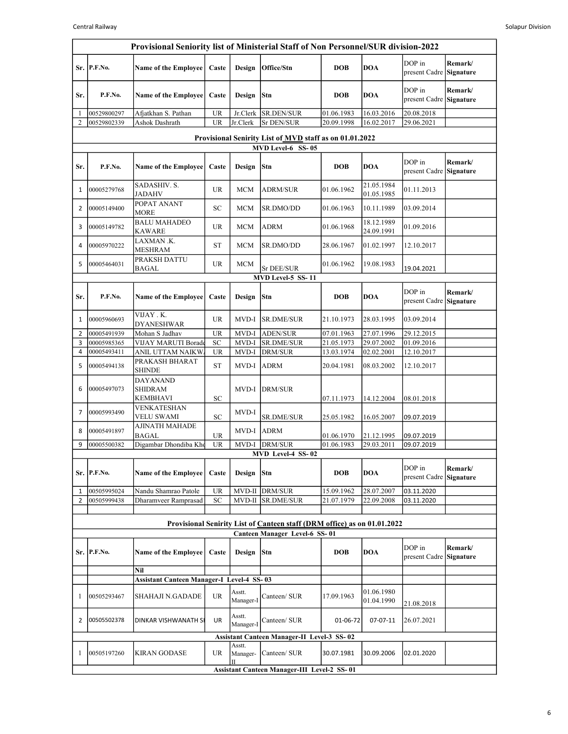J.

|                                                                              | Provisional Seniority list of Ministerial Staff of Non Personnel/SUR division-2022 |                                                      |                            |                     |                                                    |                          |                          |                          |                      |  |  |
|------------------------------------------------------------------------------|------------------------------------------------------------------------------------|------------------------------------------------------|----------------------------|---------------------|----------------------------------------------------|--------------------------|--------------------------|--------------------------|----------------------|--|--|
|                                                                              | Sr. P.F.No.                                                                        | Name of the Employee                                 | Caste                      | Design              | Office/Stn                                         | <b>DOB</b>               | <b>DOA</b>               | DOP in<br>present Cadre  | Remark/<br>Signature |  |  |
| Sr.                                                                          | P.F.No.                                                                            | Name of the Employee                                 | Caste                      | Design              | Stn                                                | <b>DOB</b>               | <b>DOA</b>               | DOP in<br>present Cadre  | Remark/<br>Signature |  |  |
| 1                                                                            | 00529800297                                                                        | Afjatkhan S. Pathan                                  | <b>UR</b>                  | Jr.Clerk            | SR.DEN/SUR                                         | 01.06.1983               | 16.03.2016               | 20.08.2018               |                      |  |  |
| $\overline{2}$                                                               | 00529802339                                                                        | Ashok Dashrath                                       | <b>UR</b>                  | Jr.Clerk            | Sr DEN/SUR                                         | 20.09.1998               | 16.02.2017               | 29.06.2021               |                      |  |  |
| Provisional Senirity List of MVD staff as on 01.01.2022<br>MVD Level-6 SS-05 |                                                                                    |                                                      |                            |                     |                                                    |                          |                          |                          |                      |  |  |
|                                                                              |                                                                                    |                                                      |                            |                     |                                                    |                          |                          |                          |                      |  |  |
| Sr.                                                                          | P.F.No.                                                                            | <b>Name of the Employee</b>                          | Caste                      | Design              | Stn                                                | <b>DOB</b>               | <b>DOA</b>               | DOP in<br>present Cadre  | Remark/<br>Signature |  |  |
| 1                                                                            | 00005279768                                                                        | SADASHIV. S.<br><b>JADAHV</b>                        | UR                         | <b>MCM</b>          | <b>ADRM/SUR</b>                                    | 01.06.1962               | 21.05.1984<br>01.05.1985 | 01.11.2013               |                      |  |  |
| 2                                                                            | 00005149400                                                                        | POPAT ANANT<br><b>MORE</b>                           | $\ensuremath{\mathbf{SC}}$ | MCM                 | SR.DMO/DD                                          | 01.06.1963               | 10.11.1989               | 03.09.2014               |                      |  |  |
| 3                                                                            | 00005149782                                                                        | <b>BALU MAHADEO</b><br><b>KAWARE</b>                 | UR                         | MCM                 | <b>ADRM</b>                                        | 01.06.1968               | 18.12.1989<br>24.09.1991 | 01.09.2016               |                      |  |  |
| 4                                                                            | 00005970222                                                                        | LAXMAN .K.<br><b>MESHRAM</b>                         | <b>ST</b>                  | <b>MCM</b>          | SR.DMO/DD                                          | 28.06.1967               | 01.02.1997               | 12.10.2017               |                      |  |  |
| 5                                                                            | 00005464031                                                                        | PRAKSH DATTU<br><b>BAGAL</b>                         | <b>UR</b>                  | <b>MCM</b>          | Sr DEE/SUR                                         | 01.06.1962               | 19.08.1983               | 19.04.2021               |                      |  |  |
|                                                                              |                                                                                    |                                                      |                            |                     | MVD Level-5 SS-11                                  |                          |                          |                          |                      |  |  |
| Sr.                                                                          | P.F.No.                                                                            | Name of the Employee                                 | Caste                      | Design              | Stn                                                | <b>DOB</b>               | <b>DOA</b>               | DOP in<br>present Cadre  | Remark/<br>Signature |  |  |
| 1                                                                            | 00005960693                                                                        | VIJAY . K.<br><b>DYANESHWAR</b>                      | <b>UR</b>                  | MVD-I               | <b>SR.DME/SUR</b>                                  | 21.10.1973               | 28.03.1995               | 03.09.2014               |                      |  |  |
| $\overline{2}$                                                               | 00005491939                                                                        | Mohan S Jadhav                                       | <b>UR</b>                  | MVD-I               | <b>ADEN/SUR</b>                                    | 07.01.1963               | 27.07.1996               | 29.12.2015               |                      |  |  |
| 3                                                                            | 00005985365                                                                        | VIJAY MARUTI Borade                                  | SC                         | MVD-I               | SR.DME/SUR                                         | 21.05.1973               | 29.07.2002               | 01.09.2016               |                      |  |  |
| 4<br>5                                                                       | 00005493411<br>00005494138                                                         | ANIL UTTAM NAIKW.<br>PRAKASH BHARAT<br><b>SHINDE</b> | <b>UR</b><br><b>ST</b>     | MVD-I<br>MVD-I      | <b>DRM/SUR</b><br><b>ADRM</b>                      | 13.03.1974<br>20.04.1981 | 02.02.2001<br>08.03.2002 | 12.10.2017<br>12.10.2017 |                      |  |  |
| 6                                                                            | 00005497073                                                                        | <b>DAYANAND</b><br><b>SHIDRAM</b><br><b>KEMBHAVI</b> | <b>SC</b>                  | MVD-I               | <b>DRM/SUR</b>                                     | 07.11.1973               | 14.12.2004               | 08.01.2018               |                      |  |  |
| $\overline{7}$                                                               | 00005993490                                                                        | VENKATESHAN                                          |                            | MVD-I               |                                                    |                          |                          |                          |                      |  |  |
|                                                                              |                                                                                    | <b>VELU SWAMI</b><br>AJINATH MAHADE                  | SC                         |                     | <b>SR.DME/SUR</b>                                  | 25.05.1982               | 16.05.2007               | 09.07.2019               |                      |  |  |
| 8                                                                            | 00005491897                                                                        | <b>BAGAL</b>                                         | <b>UR</b>                  | MVD-I ADRM          |                                                    | 01.06.1970               | 21.12.1995               | 09.07.2019               |                      |  |  |
| 9                                                                            | 00005500382                                                                        | Digambar Dhondiba Kho                                | <b>UR</b>                  | MVD-I               | <b>DRM/SUR</b>                                     | 01.06.1983               | 29.03.2011               | 09.07.2019               |                      |  |  |
|                                                                              |                                                                                    |                                                      |                            |                     | MVD Level-4 SS-02                                  |                          |                          |                          |                      |  |  |
|                                                                              | Sr. P.F.No.                                                                        | <b>Name of the Employee</b>                          | Caste                      | Design              | Stn                                                | <b>DOB</b>               | <b>DOA</b>               | DOP in<br>present Cadre  | Remark/<br>Signature |  |  |
| 1                                                                            | 00505995024                                                                        | Nandu Shamrao Patole                                 | <b>UR</b>                  | MVD-II              | DRM/SUR                                            | 15.09.1962               | 28.07.2007               | 03.11.2020               |                      |  |  |
| $\overline{2}$                                                               | 00505999438                                                                        | Dharamveer Ramprasad                                 | SC                         | $MVD-II$            | <b>SR.DME/SUR</b>                                  | 21.07.1979               | 22.09.2008               | 03.11.2020               |                      |  |  |
|                                                                              | Provisional Senirity List of Canteen staff (DRM office) as on 01.01.2022           |                                                      |                            |                     |                                                    |                          |                          |                          |                      |  |  |
|                                                                              |                                                                                    |                                                      |                            |                     | Canteen Manager Level-6 SS-01                      |                          |                          |                          |                      |  |  |
|                                                                              | Sr. P.F.No.                                                                        | <b>Name of the Employee</b>                          | Caste                      | Design              | <b>Stn</b>                                         | <b>DOB</b>               | <b>DOA</b>               | DOP in<br>present Cadre  | Remark/<br>Signature |  |  |
|                                                                              |                                                                                    | Nil                                                  |                            |                     |                                                    |                          |                          |                          |                      |  |  |
|                                                                              |                                                                                    | <b>Assistant Canteen Manager-I Level-4 SS-03</b>     |                            |                     |                                                    |                          |                          |                          |                      |  |  |
| 1                                                                            | 00505293467                                                                        | SHAHAJI N.GADADE                                     | UR                         | Asstt.<br>Manager-I | Canteen/ SUR                                       | 17.09.1963               | 01.06.1980<br>01.04.1990 | 21.08.2018               |                      |  |  |
| 2                                                                            | 00505502378                                                                        | DINKAR VISHWANATH SI                                 | UR                         | Asstt.<br>Manager-I | Canteen/ SUR                                       | 01-06-72                 | 07-07-11                 | 26.07.2021               |                      |  |  |
|                                                                              |                                                                                    |                                                      |                            |                     | <b>Assistant Canteen Manager-II Level-3 SS-02</b>  |                          |                          |                          |                      |  |  |
|                                                                              |                                                                                    |                                                      |                            | Asstt.              |                                                    |                          |                          | 02.01.2020               |                      |  |  |
| 1                                                                            | 00505197260                                                                        | <b>KIRAN GODASE</b>                                  | UR                         | Manager-            | Canteen/ SUR                                       | 30.07.1981               | 30.09.2006               |                          |                      |  |  |
|                                                                              |                                                                                    |                                                      |                            |                     | <b>Assistant Canteen Manager-III Level-2 SS-01</b> |                          |                          |                          |                      |  |  |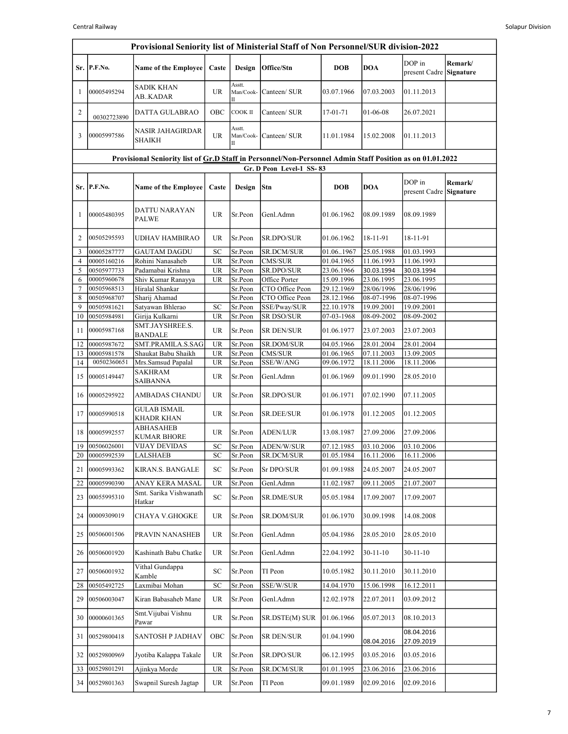|          | Provisional Seniority list of Ministerial Staff of Non Personnel/SUR division-2022                        |                                           |                        |                          |                       |                          |                          |                          |                      |  |  |  |  |
|----------|-----------------------------------------------------------------------------------------------------------|-------------------------------------------|------------------------|--------------------------|-----------------------|--------------------------|--------------------------|--------------------------|----------------------|--|--|--|--|
|          | Sr. P.F.No.                                                                                               | <b>Name of the Employee</b>               | Caste                  | Design                   | Office/Stn            | <b>DOB</b>               | <b>DOA</b>               | DOP in<br>present Cadre  | Remark/<br>Signature |  |  |  |  |
| 1        | 00005495294                                                                                               | <b>SADIK KHAN</b><br>AB. KADAR            | <b>UR</b>              | Asstt.<br>Man/Cook-      | Canteen/ SUR          | 03.07.1966               | 07.03.2003               | 01.11.2013               |                      |  |  |  |  |
| 2        | 00302723890                                                                                               | DATTA GULABRAO                            | OBC                    | COOK II                  | Canteen/ SUR          | 17-01-71                 | $01 - 06 - 08$           | 26.07.2021               |                      |  |  |  |  |
| 3        | 00005997586                                                                                               | NASIR JAHAGIRDAR<br>SHAIKH                | UR                     | Asstt.<br>Man/Cook-<br>П | Canteen/ SUR          | 11.01.1984               | 15.02.2008               | 01.11.2013               |                      |  |  |  |  |
|          | Provisional Seniority list of Gr.D Staff in Personnel/Non-Personnel Admin Staff Position as on 01.01.2022 |                                           |                        |                          |                       |                          |                          |                          |                      |  |  |  |  |
|          | Gr. D Peon Level-1 SS-83                                                                                  |                                           |                        |                          |                       |                          |                          |                          |                      |  |  |  |  |
|          | Sr. P.F.No.                                                                                               | <b>Name of the Employee</b>               | Caste                  | Design                   | Stn                   | <b>DOB</b>               | <b>DOA</b>               | DOP in<br>present Cadre  | Remark/<br>Signature |  |  |  |  |
| 1        | 00005480395                                                                                               | DATTU NARAYAN<br><b>PALWE</b>             | <b>UR</b>              | Sr.Peon                  | Genl.Admn             | 01.06.1962               | 08.09.1989               | 08.09.1989               |                      |  |  |  |  |
| 2        | 00505295593                                                                                               | UDHAV HAMBIRAO                            | UR                     | Sr.Peon                  | SR.DPO/SUR            | 01.06.1962               | 18-11-91                 | 18-11-91                 |                      |  |  |  |  |
| 3        | 00005287777                                                                                               | GAUTAM DAGDU                              | SC                     | Sr.Peon                  | SR.DCM/SUR            | 01.061967                | 25.05.1988               | 01.03.1993               |                      |  |  |  |  |
| 4<br>5   | 00005160216<br>00505977733                                                                                | Rohini Nanasaheb<br>Padamabai Krishna     | <b>UR</b><br><b>UR</b> | Sr.Peon<br>Sr.Peon       | CMS/SUR<br>SR.DPO/SUR | 01.04.1965<br>23.06.1966 | 11.06.1993<br>30.03.1994 | 11.06.1993<br>30.03.1994 |                      |  |  |  |  |
| 6        | 00005960678                                                                                               | Shiv Kumar Ranayya                        | UR                     | Sr.Peon                  | Office Porter         | 15.09.1996               | 23.06.1995               | 23.06.1995               |                      |  |  |  |  |
| 7        | 00505968513                                                                                               | Hiralal Shankar                           |                        | Sr.Peon                  | CTO Office Peon       | 29.12.1969               | 28/06/1996               | 28/06/1996               |                      |  |  |  |  |
| 8        | 00505968707                                                                                               | Sharij Ahamad                             |                        | Sr.Peon                  | CTO Office Peon       | 28.12.1966               | 08-07-1996               | 08-07-1996               |                      |  |  |  |  |
| 9        | 00505981621                                                                                               | Satyawan Bhlerao                          | SC                     | Sr.Peon                  | SSE/Pway/SUR          | 22.10.1978               | 19.09.2001               | 19.09.2001               |                      |  |  |  |  |
| 10       | 00505984981                                                                                               | Girija Kulkarni<br>SMT.JAYSHREE.S.        | UR                     | Sr.Peon                  | SR DSO/SUR            | 07-03-1968               | 08-09-2002               | 08-09-2002               |                      |  |  |  |  |
| 11       | 00005987168                                                                                               | <b>BANDALE</b>                            | <b>UR</b>              | Sr.Peon                  | SR DEN/SUR            | 01.06.1977               | 23.07.2003               | 23.07.2003               |                      |  |  |  |  |
| 12       | 00005987672                                                                                               | SMT.PRAMILA.S.SAG                         | <b>UR</b>              | Sr.Peon                  | <b>SR.DOM/SUR</b>     | 04.05.1966               | 28.01.2004               | 28.01.2004               |                      |  |  |  |  |
| 13<br>14 | 00005981578<br>00502360651                                                                                | Shaukat Babu Shaikh<br>Mrs.Samsud Papalal | <b>UR</b><br>UR        | Sr.Peon<br>Sr.Peon       | CMS/SUR<br>SSE/W/ANG  | 01.06.1965<br>09.06.1972 | 07.11.2003<br>18.11.2006 | 13.09.2005<br>18.11.2006 |                      |  |  |  |  |
| 15       | 00005149447                                                                                               | SAKHRAM<br><b>SAIBANNA</b>                | <b>UR</b>              | Sr.Peon                  | Genl.Admn             | 01.06.1969               | 09.01.1990               | 28.05.2010               |                      |  |  |  |  |
| 16       | 00005295922                                                                                               | AMBADAS CHANDU                            | <b>UR</b>              | Sr.Peon                  | SR.DPO/SUR            | 01.06.1971               | 07.02.1990               | 07.11.2005               |                      |  |  |  |  |
| 17       | 00005990518                                                                                               | <b>GULAB ISMAIL</b><br>KHADR KHAN         | <b>UR</b>              | Sr.Peon                  | SR.DEE/SUR            | 01.06.1978               | 01.12.2005               | 01.12.2005               |                      |  |  |  |  |
| 18       | 00005992557                                                                                               | ABHASAHEB<br>KUMAR BHORE                  | <b>UR</b>              | Sr.Peon                  | <b>ADEN/LUR</b>       | 13.08.1987               | 27.09.2006               | 27.09.2006               |                      |  |  |  |  |
| 19       | 00506026001                                                                                               | <b>VIJAY DEVIDAS</b>                      | SC                     | Sr.Peon                  | <b>ADEN/W/SUR</b>     | 07.12.1985               | 03.10.2006               | 03.10.2006               |                      |  |  |  |  |
| 20       | 00005992539                                                                                               | LALSHAEB                                  | SC                     | Sr.Peon                  | SR.DCM/SUR            | 01.05.1984               | 16.11.2006               | 16.11.2006               |                      |  |  |  |  |
| 21       | 00005993362                                                                                               | KIRAN.S. BANGALE                          | SC                     | Sr.Peon                  | Sr DPO/SUR            | 01.09.1988               | 24.05.2007               | 24.05.2007               |                      |  |  |  |  |
| 22       | 00005990390                                                                                               | ANAY KERA MASAL                           | <b>UR</b>              | Sr.Peon                  | Genl.Admn             | 11.02.1987               | 09.11.2005               | 21.07.2007               |                      |  |  |  |  |
| 23       | 00055995310                                                                                               | Smt. Sarika Vishwanath<br>Hatkar          | ${\rm SC}$             | Sr.Peon                  | <b>SR.DME/SUR</b>     | 05.05.1984               | 17.09.2007               | 17.09.2007               |                      |  |  |  |  |
| 24       | 00009309019                                                                                               | <b>CHAYA V.GHOGKE</b>                     | <b>UR</b>              | Sr.Peon                  | SR.DOM/SUR            | 01.06.1970               | 30.09.1998               | 14.08.2008               |                      |  |  |  |  |
| 25       | 00506001506                                                                                               | PRAVIN NANASHEB                           | <b>UR</b>              | Sr.Peon                  | Genl.Admn             | 05.04.1986               | 28.05.2010               | 28.05.2010               |                      |  |  |  |  |
| 26       | 00506001920                                                                                               | Kashinath Babu Chatke                     | <b>UR</b>              | Sr.Peon                  | Genl.Admn             | 22.04.1992               | $30-11-10$               | $30-11-10$               |                      |  |  |  |  |
| 27       | 00506001932                                                                                               | Vithal Gundappa<br>Kamble                 | SC                     | Sr.Peon                  | TI Peon               | 10.05.1982               | 30.11.2010               | 30.11.2010               |                      |  |  |  |  |
| 28       | 00505492725                                                                                               | Laxmibai Mohan                            | SC                     | Sr.Peon                  | SSE/W/SUR             | 14.04.1970               | 15.06.1998               | 16.12.2011               |                      |  |  |  |  |
| 29       | 00506003047                                                                                               | Kiran Babasaheb Mane                      | UR                     | Sr.Peon                  | Genl.Admn             | 12.02.1978               | 22.07.2011               | 03.09.2012               |                      |  |  |  |  |
| 30       | 00000601365                                                                                               | Smt. Vijubai Vishnu<br>Pawar              | UR                     | Sr.Peon                  | SR.DSTE(M) SUR        | 01.06.1966               | 05.07.2013               | 08.10.2013               |                      |  |  |  |  |
| 31       | 00529800418                                                                                               | SANTOSH P JADHAV                          | OBC                    | Sr.Peon                  | SR DEN/SUR            | 01.04.1990               | 08.04.2016               | 08.04.2016<br>27.09.2019 |                      |  |  |  |  |
| 32       | 00529800969                                                                                               | Jyotiba Kalappa Takale                    | UR                     | Sr.Peon                  | SR.DPO/SUR            | 06.12.1995               | 03.05.2016               | 03.05.2016               |                      |  |  |  |  |
| 33       | 00529801291                                                                                               | Ajinkya Morde                             | UR                     | Sr.Peon                  | SR.DCM/SUR            | 01.01.1995               | 23.06.2016               | 23.06.2016               |                      |  |  |  |  |
| 34       | 00529801363                                                                                               | Swapnil Suresh Jagtap                     | UR                     | Sr.Peon                  | TI Peon               | 09.01.1989               | 02.09.2016               | 02.09.2016               |                      |  |  |  |  |